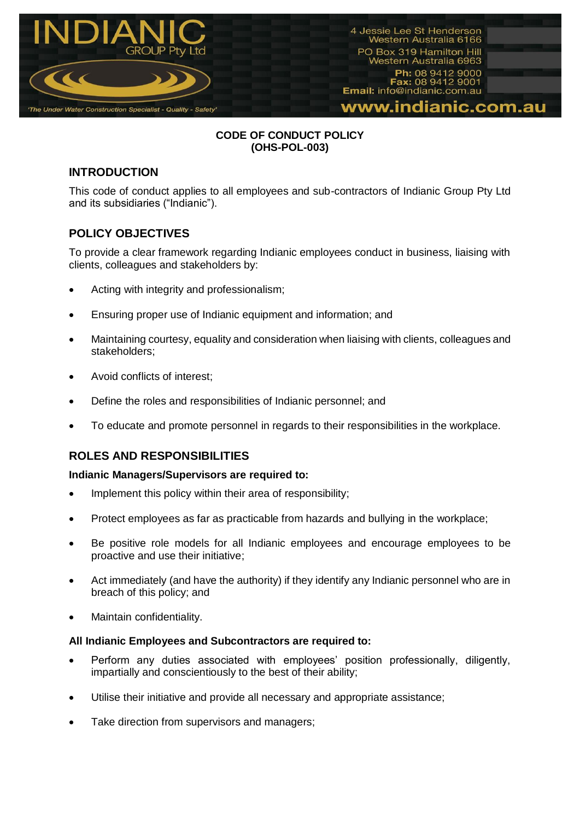

## **CODE OF CONDUCT POLICY (OHS-POL-003)**

# **INTRODUCTION**

This code of conduct applies to all employees and sub-contractors of Indianic Group Pty Ltd and its subsidiaries ("Indianic").

# **POLICY OBJECTIVES**

To provide a clear framework regarding Indianic employees conduct in business, liaising with clients, colleagues and stakeholders by:

- Acting with integrity and professionalism;
- Ensuring proper use of Indianic equipment and information; and
- Maintaining courtesy, equality and consideration when liaising with clients, colleagues and stakeholders;
- Avoid conflicts of interest;
- Define the roles and responsibilities of Indianic personnel; and
- To educate and promote personnel in regards to their responsibilities in the workplace.

# **ROLES AND RESPONSIBILITIES**

### **Indianic Managers/Supervisors are required to:**

- Implement this policy within their area of responsibility;
- Protect employees as far as practicable from hazards and bullying in the workplace;
- Be positive role models for all Indianic employees and encourage employees to be proactive and use their initiative;
- Act immediately (and have the authority) if they identify any Indianic personnel who are in breach of this policy; and
- Maintain confidentiality.

### **All Indianic Employees and Subcontractors are required to:**

- Perform any duties associated with employees' position professionally, diligently, impartially and conscientiously to the best of their ability;
- Utilise their initiative and provide all necessary and appropriate assistance;
- Take direction from supervisors and managers;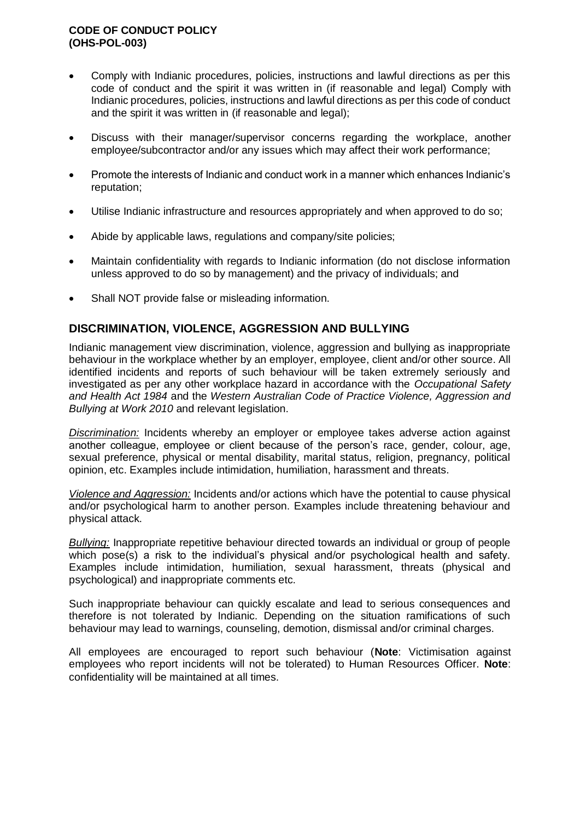### **CODE OF CONDUCT POLICY (OHS-POL-003)**

- Comply with Indianic procedures, policies, instructions and lawful directions as per this code of conduct and the spirit it was written in (if reasonable and legal) Comply with Indianic procedures, policies, instructions and lawful directions as per this code of conduct and the spirit it was written in (if reasonable and legal);
- Discuss with their manager/supervisor concerns regarding the workplace, another employee/subcontractor and/or any issues which may affect their work performance;
- Promote the interests of Indianic and conduct work in a manner which enhances Indianic's reputation;
- Utilise Indianic infrastructure and resources appropriately and when approved to do so;
- Abide by applicable laws, regulations and company/site policies;
- Maintain confidentiality with regards to Indianic information (do not disclose information unless approved to do so by management) and the privacy of individuals; and
- Shall NOT provide false or misleading information.

## **DISCRIMINATION, VIOLENCE, AGGRESSION AND BULLYING**

Indianic management view discrimination, violence, aggression and bullying as inappropriate behaviour in the workplace whether by an employer, employee, client and/or other source. All identified incidents and reports of such behaviour will be taken extremely seriously and investigated as per any other workplace hazard in accordance with the *Occupational Safety and Health Act 1984* and the *Western Australian Code of Practice Violence, Aggression and Bullying at Work 2010* and relevant legislation.

*Discrimination:* Incidents whereby an employer or employee takes adverse action against another colleague, employee or client because of the person's race, gender, colour, age, sexual preference, physical or mental disability, marital status, religion, pregnancy, political opinion, etc. Examples include intimidation, humiliation, harassment and threats.

*Violence and Aggression:* Incidents and/or actions which have the potential to cause physical and/or psychological harm to another person. Examples include threatening behaviour and physical attack.

*Bullying:* Inappropriate repetitive behaviour directed towards an individual or group of people which pose(s) a risk to the individual's physical and/or psychological health and safety. Examples include intimidation, humiliation, sexual harassment, threats (physical and psychological) and inappropriate comments etc.

Such inappropriate behaviour can quickly escalate and lead to serious consequences and therefore is not tolerated by Indianic. Depending on the situation ramifications of such behaviour may lead to warnings, counseling, demotion, dismissal and/or criminal charges.

All employees are encouraged to report such behaviour (**Note**: Victimisation against employees who report incidents will not be tolerated) to Human Resources Officer. **Note**: confidentiality will be maintained at all times.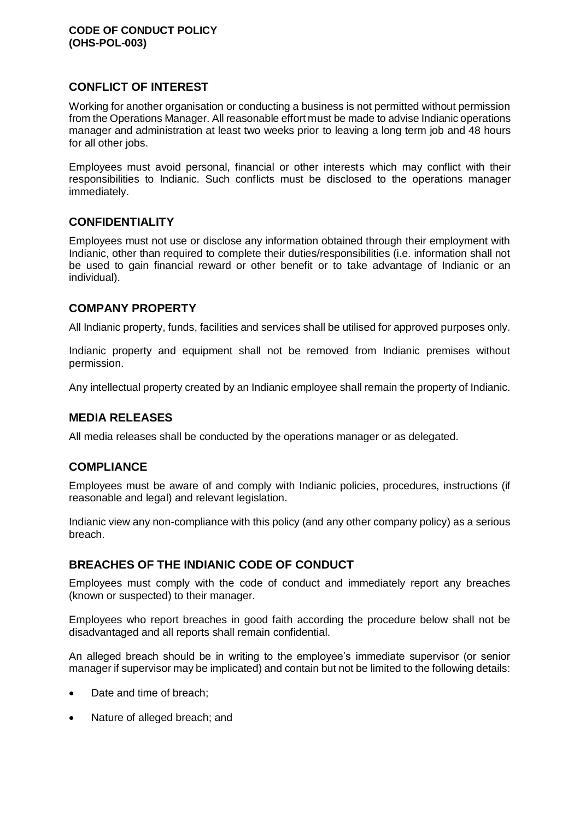# **CONFLICT OF INTEREST**

Working for another organisation or conducting a business is not permitted without permission from the Operations Manager. All reasonable effort must be made to advise Indianic operations manager and administration at least two weeks prior to leaving a long term job and 48 hours for all other jobs.

Employees must avoid personal, financial or other interests which may conflict with their responsibilities to Indianic. Such conflicts must be disclosed to the operations manager immediately.

# **CONFIDENTIALITY**

Employees must not use or disclose any information obtained through their employment with Indianic, other than required to complete their duties/responsibilities (i.e. information shall not be used to gain financial reward or other benefit or to take advantage of Indianic or an individual).

# **COMPANY PROPERTY**

All Indianic property, funds, facilities and services shall be utilised for approved purposes only.

Indianic property and equipment shall not be removed from Indianic premises without permission.

Any intellectual property created by an Indianic employee shall remain the property of Indianic.

# **MEDIA RELEASES**

All media releases shall be conducted by the operations manager or as delegated.

# **COMPLIANCE**

Employees must be aware of and comply with Indianic policies, procedures, instructions (if reasonable and legal) and relevant legislation.

Indianic view any non-compliance with this policy (and any other company policy) as a serious breach.

# **BREACHES OF THE INDIANIC CODE OF CONDUCT**

Employees must comply with the code of conduct and immediately report any breaches (known or suspected) to their manager.

Employees who report breaches in good faith according the procedure below shall not be disadvantaged and all reports shall remain confidential.

An alleged breach should be in writing to the employee's immediate supervisor (or senior manager if supervisor may be implicated) and contain but not be limited to the following details:

- Date and time of breach;
- Nature of alleged breach; and